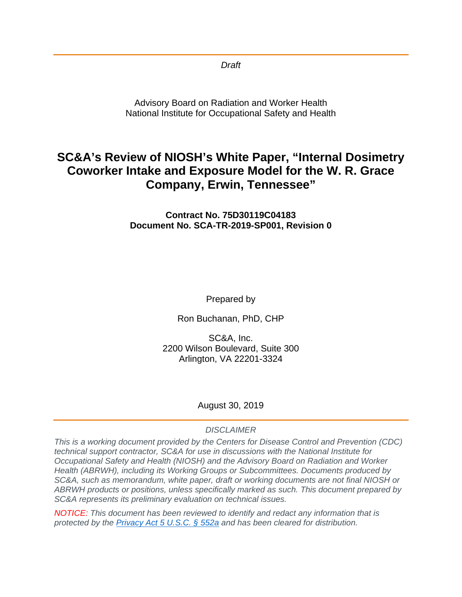*Draft* 

Advisory Board on Radiation and Worker Health National Institute for Occupational Safety and Health

# **SC&A's Review of NIOSH's White Paper, "Internal Dosimetry Coworker Intake and Exposure Model for the W. R. Grace Company, Erwin, Tennessee"**

**Contract No. 75D30119C04183 Document No. SCA-TR-2019-SP001, Revision 0**

Prepared by

Ron Buchanan, PhD, CHP

SC&A, Inc. 2200 Wilson Boulevard, Suite 300 Arlington, VA 22201-3324

### August 30, 2019

### *DISCLAIMER*

*This is a working document provided by the Centers for Disease Control and Prevention (CDC) technical support contractor, SC&A for use in discussions with the National Institute for Occupational Safety and Health (NIOSH) and the Advisory Board on Radiation and Worker Health (ABRWH), including its Working Groups or Subcommittees. Documents produced by SC&A, such as memorandum, white paper, draft or working documents are not final NIOSH or ABRWH products or positions, unless specifically marked as such. This document prepared by SC&A represents its preliminary evaluation on technical issues.*

*NOTICE: This document has been reviewed to identify and redact any information that is protected by the [Privacy Act 5 U.S.C. § 552a](http://www.justice.gov/opcl/privacy-act-1974) and has been cleared for distribution.*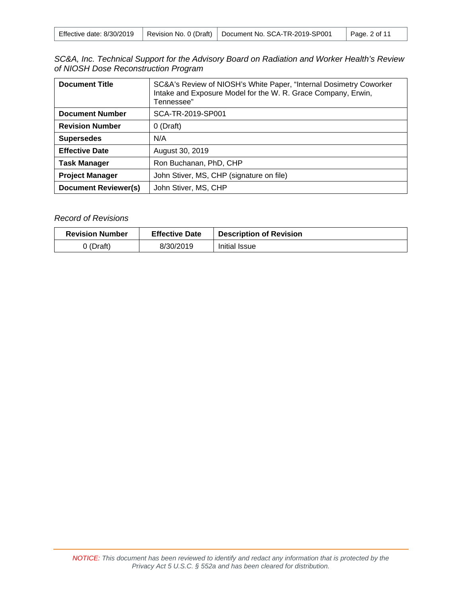| Effective date: 8/30/2019 |  | Revision No. 0 (Draft)   Document No. SCA-TR-2019-SP001 | Page. 2 of 11 |
|---------------------------|--|---------------------------------------------------------|---------------|
|---------------------------|--|---------------------------------------------------------|---------------|

| SC&A, Inc. Technical Support for the Advisory Board on Radiation and Worker Health's Review |  |  |  |
|---------------------------------------------------------------------------------------------|--|--|--|
| of NIOSH Dose Reconstruction Program                                                        |  |  |  |

| <b>Document Title</b>                               | SC&A's Review of NIOSH's White Paper, "Internal Dosimetry Coworker<br>Intake and Exposure Model for the W. R. Grace Company, Erwin,<br>Tennessee" |  |  |
|-----------------------------------------------------|---------------------------------------------------------------------------------------------------------------------------------------------------|--|--|
| <b>Document Number</b>                              | SCA-TR-2019-SP001                                                                                                                                 |  |  |
| <b>Revision Number</b>                              | $0$ (Draft)                                                                                                                                       |  |  |
| <b>Supersedes</b>                                   | N/A                                                                                                                                               |  |  |
| <b>Effective Date</b>                               | August 30, 2019                                                                                                                                   |  |  |
| <b>Task Manager</b>                                 | Ron Buchanan, PhD, CHP                                                                                                                            |  |  |
| <b>Project Manager</b>                              | John Stiver, MS, CHP (signature on file)                                                                                                          |  |  |
| <b>Document Reviewer(s)</b><br>John Stiver, MS, CHP |                                                                                                                                                   |  |  |

### *Record of Revisions*

| <b>Revision Number</b> | <b>Effective Date</b> | <b>Description of Revision</b> |
|------------------------|-----------------------|--------------------------------|
| 0 (Draft)              | 8/30/2019             | Initial Issue                  |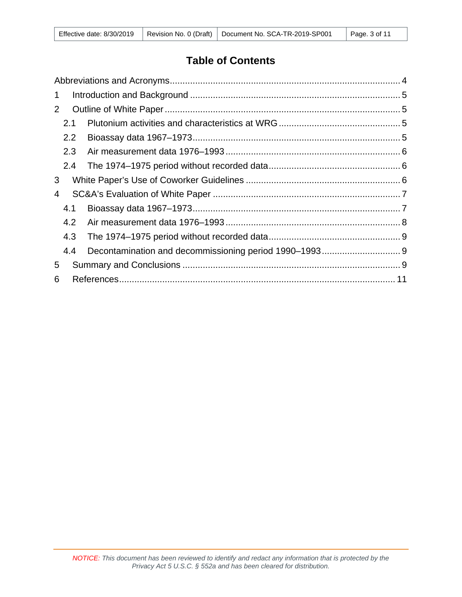| $\mathbf 1$ |     |  |  |  |
|-------------|-----|--|--|--|
| 2           |     |  |  |  |
|             | 2.1 |  |  |  |
|             | 2.2 |  |  |  |
|             | 2.3 |  |  |  |
|             | 2.4 |  |  |  |
| 3           |     |  |  |  |
| 4           |     |  |  |  |
|             | 4.1 |  |  |  |
|             | 4.2 |  |  |  |
|             | 4.3 |  |  |  |
|             | 4.4 |  |  |  |
| 5           |     |  |  |  |
| 6           |     |  |  |  |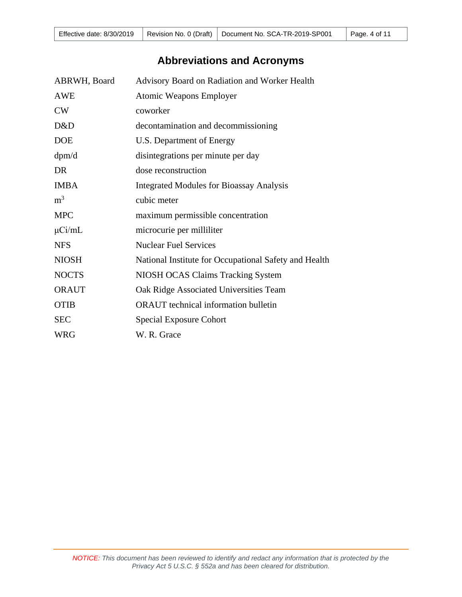# **Abbreviations and Acronyms**

<span id="page-3-0"></span>

| ABRWH, Board   | Advisory Board on Radiation and Worker Health         |
|----------------|-------------------------------------------------------|
| <b>AWE</b>     | <b>Atomic Weapons Employer</b>                        |
| CW             | coworker                                              |
| D&D            | decontamination and decommissioning                   |
| <b>DOE</b>     | U.S. Department of Energy                             |
| dpm/d          | disintegrations per minute per day                    |
| <b>DR</b>      | dose reconstruction                                   |
| <b>IMBA</b>    | <b>Integrated Modules for Bioassay Analysis</b>       |
| m <sup>3</sup> | cubic meter                                           |
| <b>MPC</b>     | maximum permissible concentration                     |
| $\mu$ Ci/mL    | microcurie per milliliter                             |
| <b>NFS</b>     | <b>Nuclear Fuel Services</b>                          |
| <b>NIOSH</b>   | National Institute for Occupational Safety and Health |
| <b>NOCTS</b>   | NIOSH OCAS Claims Tracking System                     |
| <b>ORAUT</b>   | Oak Ridge Associated Universities Team                |
| <b>OTIB</b>    | <b>ORAUT</b> technical information bulletin           |
| <b>SEC</b>     | <b>Special Exposure Cohort</b>                        |
| <b>WRG</b>     | W. R. Grace                                           |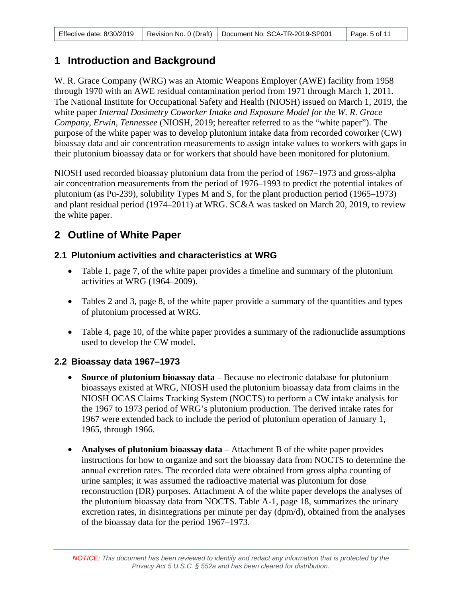# <span id="page-4-0"></span>**1 Introduction and Background**

W. R. Grace Company (WRG) was an Atomic Weapons Employer (AWE) facility from 1958 through 1970 with an AWE residual contamination period from 1971 through March 1, 2011. The National Institute for Occupational Safety and Health (NIOSH) issued on March 1, 2019, the white paper *Internal Dosimetry Coworker Intake and Exposure Model for the W. R. Grace Company, Erwin, Tennessee* (NIOSH, 2019; hereafter referred to as the "white paper"). The purpose of the white paper was to develop plutonium intake data from recorded coworker (CW) bioassay data and air concentration measurements to assign intake values to workers with gaps in their plutonium bioassay data or for workers that should have been monitored for plutonium.

NIOSH used recorded bioassay plutonium data from the period of 1967–1973 and gross-alpha air concentration measurements from the period of 1976–1993 to predict the potential intakes of plutonium (as Pu-239), solubility Types M and S, for the plant production period (1965–1973) and plant residual period (1974–2011) at WRG. SC&A was tasked on March 20, 2019, to review the white paper.

# <span id="page-4-1"></span>**2 Outline of White Paper**

## <span id="page-4-2"></span>**2.1 Plutonium activities and characteristics at WRG**

- Table 1, page 7, of the white paper provides a timeline and summary of the plutonium activities at WRG (1964–2009).
- Tables 2 and 3, page 8, of the white paper provide a summary of the quantities and types of plutonium processed at WRG.
- Table 4, page 10, of the white paper provides a summary of the radionuclide assumptions used to develop the CW model.

## <span id="page-4-3"></span>**2.2 Bioassay data 1967–1973**

- **Source of plutonium bioassay data** Because no electronic database for plutonium bioassays existed at WRG, NIOSH used the plutonium bioassay data from claims in the NIOSH OCAS Claims Tracking System (NOCTS) to perform a CW intake analysis for the 1967 to 1973 period of WRG's plutonium production. The derived intake rates for 1967 were extended back to include the period of plutonium operation of January 1, 1965, through 1966.
- **Analyses of plutonium bioassay data**  Attachment B of the white paper provides instructions for how to organize and sort the bioassay data from NOCTS to determine the annual excretion rates. The recorded data were obtained from gross alpha counting of urine samples; it was assumed the radioactive material was plutonium for dose reconstruction (DR) purposes. Attachment A of the white paper develops the analyses of the plutonium bioassay data from NOCTS. Table A-1, page 18, summarizes the urinary excretion rates, in disintegrations per minute per day (dpm/d), obtained from the analyses of the bioassay data for the period 1967–1973.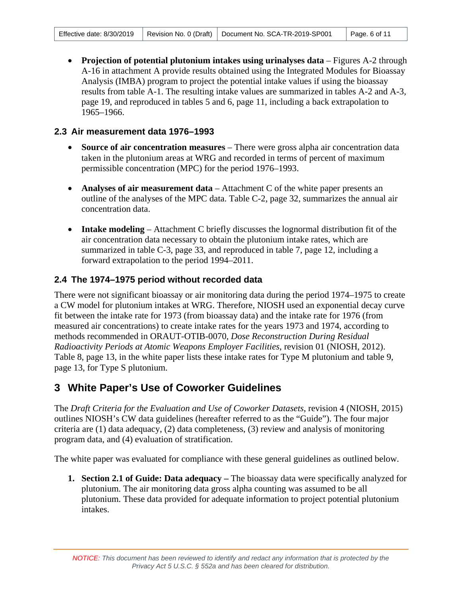• **Projection of potential plutonium intakes using urinalyses data** – Figures A-2 through A-16 in attachment A provide results obtained using the Integrated Modules for Bioassay Analysis (IMBA) program to project the potential intake values if using the bioassay results from table A-1. The resulting intake values are summarized in tables A-2 and A-3, page 19, and reproduced in tables 5 and 6, page 11, including a back extrapolation to 1965–1966.

### <span id="page-5-0"></span>**2.3 Air measurement data 1976–1993**

- **Source of air concentration measures** There were gross alpha air concentration data taken in the plutonium areas at WRG and recorded in terms of percent of maximum permissible concentration (MPC) for the period 1976–1993.
- **Analyses of air measurement data**  Attachment C of the white paper presents an outline of the analyses of the MPC data. Table C-2, page 32, summarizes the annual air concentration data.
- **Intake modeling** Attachment C briefly discusses the lognormal distribution fit of the air concentration data necessary to obtain the plutonium intake rates, which are summarized in table C-3, page 33, and reproduced in table 7, page 12, including a forward extrapolation to the period 1994–2011.

### <span id="page-5-1"></span>**2.4 The 1974–1975 period without recorded data**

There were not significant bioassay or air monitoring data during the period 1974–1975 to create a CW model for plutonium intakes at WRG. Therefore, NIOSH used an exponential decay curve fit between the intake rate for 1973 (from bioassay data) and the intake rate for 1976 (from measured air concentrations) to create intake rates for the years 1973 and 1974, according to methods recommended in ORAUT-OTIB-0070, *Dose Reconstruction During Residual Radioactivity Periods at Atomic Weapons Employer Facilities*, revision 01 (NIOSH, 2012). Table 8, page 13, in the white paper lists these intake rates for Type M plutonium and table 9, page 13, for Type S plutonium.

# <span id="page-5-2"></span>**3 White Paper's Use of Coworker Guidelines**

The *Draft Criteria for the Evaluation and Use of Coworker Datasets*, revision 4 (NIOSH, 2015) outlines NIOSH's CW data guidelines (hereafter referred to as the "Guide"). The four major criteria are (1) data adequacy, (2) data completeness, (3) review and analysis of monitoring program data, and (4) evaluation of stratification.

The white paper was evaluated for compliance with these general guidelines as outlined below.

**1. Section 2.1 of Guide: Data adequacy –** The bioassay data were specifically analyzed for plutonium. The air monitoring data gross alpha counting was assumed to be all plutonium. These data provided for adequate information to project potential plutonium intakes.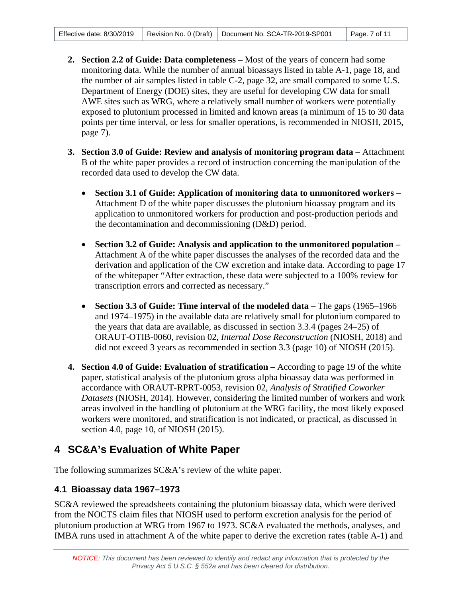- **2. Section 2.2 of Guide: Data completeness –** Most of the years of concern had some monitoring data. While the number of annual bioassays listed in table A-1, page 18, and the number of air samples listed in table C-2, page 32, are small compared to some U.S. Department of Energy (DOE) sites, they are useful for developing CW data for small AWE sites such as WRG, where a relatively small number of workers were potentially exposed to plutonium processed in limited and known areas (a minimum of 15 to 30 data points per time interval, or less for smaller operations, is recommended in NIOSH, 2015, page 7).
- **3. Section 3.0 of Guide: Review and analysis of monitoring program data –** Attachment B of the white paper provides a record of instruction concerning the manipulation of the recorded data used to develop the CW data.
	- **Section 3.1 of Guide: Application of monitoring data to unmonitored workers –** Attachment D of the white paper discusses the plutonium bioassay program and its application to unmonitored workers for production and post-production periods and the decontamination and decommissioning (D&D) period.
	- **Section 3.2 of Guide: Analysis and application to the unmonitored population –** Attachment A of the white paper discusses the analyses of the recorded data and the derivation and application of the CW excretion and intake data. According to page 17 of the whitepaper "After extraction, these data were subjected to a 100% review for transcription errors and corrected as necessary."
	- **Section 3.3 of Guide: Time interval of the modeled data –** The gaps (1965–1966 and 1974–1975) in the available data are relatively small for plutonium compared to the years that data are available, as discussed in section 3.3.4 (pages 24–25) of ORAUT-OTIB-0060, revision 02, *Internal Dose Reconstruction* (NIOSH, 2018) and did not exceed 3 years as recommended in section 3.3 (page 10) of NIOSH (2015).
- **4. Section 4.0 of Guide: Evaluation of stratification –** According to page 19 of the white paper, statistical analysis of the plutonium gross alpha bioassay data was performed in accordance with ORAUT-RPRT-0053, revision 02, *Analysis of Stratified Coworker Datasets* (NIOSH, 2014). However, considering the limited number of workers and work areas involved in the handling of plutonium at the WRG facility, the most likely exposed workers were monitored, and stratification is not indicated, or practical, as discussed in section 4.0, page 10, of NIOSH (2015).

# <span id="page-6-0"></span>**4 SC&A's Evaluation of White Paper**

The following summarizes SC&A's review of the white paper.

## <span id="page-6-1"></span>**4.1 Bioassay data 1967–1973**

SC&A reviewed the spreadsheets containing the plutonium bioassay data, which were derived from the NOCTS claim files that NIOSH used to perform excretion analysis for the period of plutonium production at WRG from 1967 to 1973. SC&A evaluated the methods, analyses, and IMBA runs used in attachment A of the white paper to derive the excretion rates (table A-1) and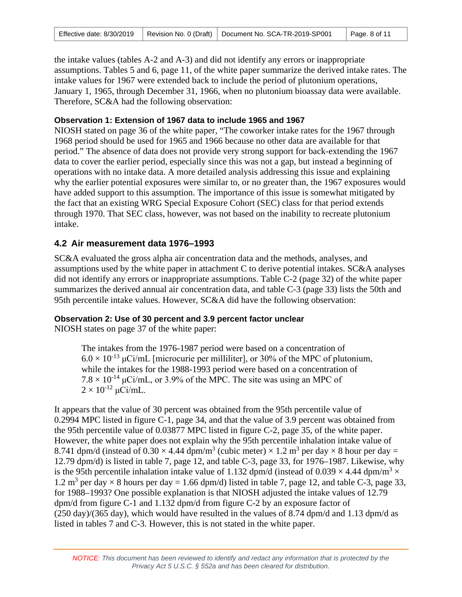| Effective date: 8/30/2019 |  | Revision No. 0 (Draft)   Document No. SCA-TR-2019-SP001 | $\vert$ Page. 8 of 11 |
|---------------------------|--|---------------------------------------------------------|-----------------------|
|---------------------------|--|---------------------------------------------------------|-----------------------|

the intake values (tables A-2 and A-3) and did not identify any errors or inappropriate assumptions. Tables 5 and 6, page 11, of the white paper summarize the derived intake rates. The intake values for 1967 were extended back to include the period of plutonium operations, January 1, 1965, through December 31, 1966, when no plutonium bioassay data were available. Therefore, SC&A had the following observation:

### **Observation 1: Extension of 1967 data to include 1965 and 1967**

NIOSH stated on page 36 of the white paper, "The coworker intake rates for the 1967 through 1968 period should be used for 1965 and 1966 because no other data are available for that period." The absence of data does not provide very strong support for back-extending the 1967 data to cover the earlier period, especially since this was not a gap, but instead a beginning of operations with no intake data. A more detailed analysis addressing this issue and explaining why the earlier potential exposures were similar to, or no greater than, the 1967 exposures would have added support to this assumption. The importance of this issue is somewhat mitigated by the fact that an existing WRG Special Exposure Cohort (SEC) class for that period extends through 1970. That SEC class, however, was not based on the inability to recreate plutonium intake.

### <span id="page-7-0"></span>**4.2 Air measurement data 1976–1993**

SC&A evaluated the gross alpha air concentration data and the methods, analyses, and assumptions used by the white paper in attachment C to derive potential intakes. SC&A analyses did not identify any errors or inappropriate assumptions. Table C-2 (page 32) of the white paper summarizes the derived annual air concentration data, and table C-3 (page 33) lists the 50th and 95th percentile intake values. However, SC&A did have the following observation:

### **Observation 2: Use of 30 percent and 3.9 percent factor unclear**

NIOSH states on page 37 of the white paper:

The intakes from the 1976-1987 period were based on a concentration of  $6.0 \times 10^{-13}$  µCi/mL [microcurie per milliliter], or 30% of the MPC of plutonium, while the intakes for the 1988-1993 period were based on a concentration of  $7.8 \times 10^{-14}$  µCi/mL, or 3.9% of the MPC. The site was using an MPC of  $2 \times 10^{-12} \mu$ Ci/mL.

It appears that the value of 30 percent was obtained from the 95th percentile value of 0.2994 MPC listed in figure C-1, page 34, and that the value of 3.9 percent was obtained from the 95th percentile value of 0.03877 MPC listed in figure C-2, page 35, of the white paper. However, the white paper does not explain why the 95th percentile inhalation intake value of 8.741 dpm/d (instead of  $0.30 \times 4.44$  dpm/m<sup>3</sup> (cubic meter)  $\times 1.2$  m<sup>3</sup> per day  $\times 8$  hour per day = 12.79 dpm/d) is listed in table 7, page 12, and table C-3, page 33, for 1976–1987. Likewise, why is the 95th percentile inhalation intake value of 1.132 dpm/d (instead of 0.039  $\times$  4.44 dpm/m<sup>3</sup>  $\times$ 1.2 m<sup>3</sup> per day  $\times$  8 hours per day = 1.66 dpm/d) listed in table 7, page 12, and table C-3, page 33, for 1988–1993? One possible explanation is that NIOSH adjusted the intake values of 12.79 dpm/d from figure C-1 and 1.132 dpm/d from figure C-2 by an exposure factor of  $(250 \text{ day})/(365 \text{ day})$ , which would have resulted in the values of 8.74 dpm/d and 1.13 dpm/d as listed in tables 7 and C-3. However, this is not stated in the white paper.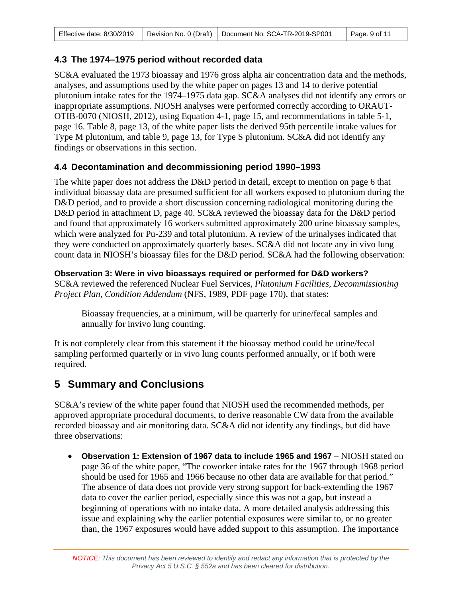### <span id="page-8-0"></span>**4.3 The 1974–1975 period without recorded data**

SC&A evaluated the 1973 bioassay and 1976 gross alpha air concentration data and the methods, analyses, and assumptions used by the white paper on pages 13 and 14 to derive potential plutonium intake rates for the 1974–1975 data gap. SC&A analyses did not identify any errors or inappropriate assumptions. NIOSH analyses were performed correctly according to ORAUT-OTIB-0070 (NIOSH, 2012), using Equation 4-1, page 15, and recommendations in table 5-1, page 16. Table 8, page 13, of the white paper lists the derived 95th percentile intake values for Type M plutonium, and table 9, page 13, for Type S plutonium. SC&A did not identify any findings or observations in this section.

### <span id="page-8-1"></span>**4.4 Decontamination and decommissioning period 1990–1993**

The white paper does not address the D&D period in detail, except to mention on page 6 that individual bioassay data are presumed sufficient for all workers exposed to plutonium during the D&D period, and to provide a short discussion concerning radiological monitoring during the D&D period in attachment D, page 40. SC&A reviewed the bioassay data for the D&D period and found that approximately 16 workers submitted approximately 200 urine bioassay samples, which were analyzed for Pu-239 and total plutonium. A review of the urinalyses indicated that they were conducted on approximately quarterly bases. SC&A did not locate any in vivo lung count data in NIOSH's bioassay files for the D&D period. SC&A had the following observation:

### **Observation 3: Were in vivo bioassays required or performed for D&D workers?**

SC&A reviewed the referenced Nuclear Fuel Services, *Plutonium Facilities, Decommissioning Project Plan, Condition Addendum* (NFS, 1989, PDF page 170), that states:

Bioassay frequencies, at a minimum, will be quarterly for urine/fecal samples and annually for invivo lung counting.

It is not completely clear from this statement if the bioassay method could be urine/fecal sampling performed quarterly or in vivo lung counts performed annually, or if both were required.

# <span id="page-8-2"></span>**5 Summary and Conclusions**

SC&A's review of the white paper found that NIOSH used the recommended methods, per approved appropriate procedural documents, to derive reasonable CW data from the available recorded bioassay and air monitoring data. SC&A did not identify any findings, but did have three observations:

• **Observation 1: Extension of 1967 data to include 1965 and 1967** – NIOSH stated on page 36 of the white paper, "The coworker intake rates for the 1967 through 1968 period should be used for 1965 and 1966 because no other data are available for that period." The absence of data does not provide very strong support for back-extending the 1967 data to cover the earlier period, especially since this was not a gap, but instead a beginning of operations with no intake data. A more detailed analysis addressing this issue and explaining why the earlier potential exposures were similar to, or no greater than, the 1967 exposures would have added support to this assumption. The importance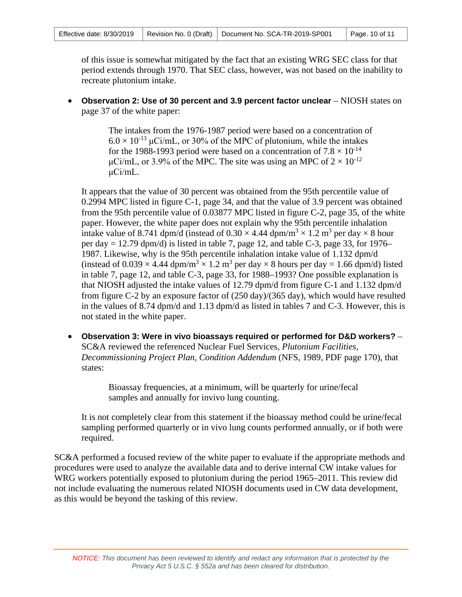of this issue is somewhat mitigated by the fact that an existing WRG SEC class for that period extends through 1970. That SEC class, however, was not based on the inability to recreate plutonium intake.

• **Observation 2: Use of 30 percent and 3.9 percent factor unclear** – NIOSH states on page 37 of the white paper:

> The intakes from the 1976-1987 period were based on a concentration of  $6.0 \times 10^{-13}$  µCi/mL, or 30% of the MPC of plutonium, while the intakes for the 1988-1993 period were based on a concentration of  $7.8 \times 10^{-14}$ μCi/mL, or 3.9% of the MPC. The site was using an MPC of  $2 \times 10^{-12}$ μCi/mL.

It appears that the value of 30 percent was obtained from the 95th percentile value of 0.2994 MPC listed in figure C-1, page 34, and that the value of 3.9 percent was obtained from the 95th percentile value of 0.03877 MPC listed in figure C-2, page 35, of the white paper. However, the white paper does not explain why the 95th percentile inhalation intake value of 8.741 dpm/d (instead of  $0.30 \times 4.44$  dpm/m<sup>3</sup>  $\times$  1.2 m<sup>3</sup> per day  $\times$  8 hour per day  $= 12.79$  dpm/d) is listed in table 7, page 12, and table C-3, page 33, for 1976– 1987. Likewise, why is the 95th percentile inhalation intake value of 1.132 dpm/d (instead of  $0.039 \times 4.44$  dpm/m<sup>3</sup>  $\times$  1.2 m<sup>3</sup> per day  $\times$  8 hours per day = 1.66 dpm/d) listed in table 7, page 12, and table C-3, page 33, for 1988–1993? One possible explanation is that NIOSH adjusted the intake values of 12.79 dpm/d from figure C-1 and 1.132 dpm/d from figure C-2 by an exposure factor of (250 day)/(365 day), which would have resulted in the values of 8.74 dpm/d and 1.13 dpm/d as listed in tables 7 and C-3. However, this is not stated in the white paper.

• **Observation 3: Were in vivo bioassays required or performed for D&D workers?** – SC&A reviewed the referenced Nuclear Fuel Services, *Plutonium Facilities, Decommissioning Project Plan, Condition Addendum* (NFS, 1989, PDF page 170), that states:

> Bioassay frequencies, at a minimum, will be quarterly for urine/fecal samples and annually for invivo lung counting.

It is not completely clear from this statement if the bioassay method could be urine/fecal sampling performed quarterly or in vivo lung counts performed annually, or if both were required.

SC&A performed a focused review of the white paper to evaluate if the appropriate methods and procedures were used to analyze the available data and to derive internal CW intake values for WRG workers potentially exposed to plutonium during the period 1965–2011. This review did not include evaluating the numerous related NIOSH documents used in CW data development, as this would be beyond the tasking of this review.